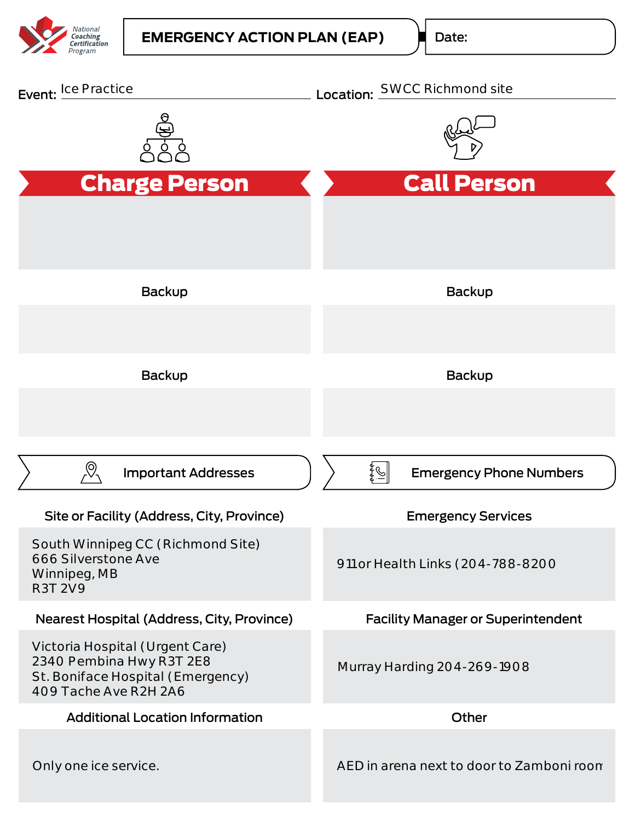

Date:

| Event: Ce Practice                                                                                                        | Location: SWCC Richmond site                                 |
|---------------------------------------------------------------------------------------------------------------------------|--------------------------------------------------------------|
|                                                                                                                           |                                                              |
| <b>Charge Person</b>                                                                                                      | <b>Call Person</b>                                           |
| Backup                                                                                                                    | <b>Backup</b>                                                |
|                                                                                                                           |                                                              |
| Backup                                                                                                                    | <b>Backup</b>                                                |
|                                                                                                                           |                                                              |
| $\circledcirc$<br><b>Important Addresses</b>                                                                              | $ \mathbb{Z}_\pm^{\sharp}$<br><b>Emergency Phone Numbers</b> |
| Site or Facility (Address, City, Province)                                                                                | <b>Emergency Services</b>                                    |
| South Winnipeg CC (Richmond Site)<br>666 Silverstone Ave<br>Winnipeg, MB<br><b>R3T 2V9</b>                                | 911 or Health Links (204-788-8200                            |
| Nearest Hospital (Address, City, Province)                                                                                | <b>Facility Manager or Superintendent</b>                    |
| Victoria Hospital (Urgent Care)<br>2340 Pembina Hwy R3T 2E8<br>St. Boniface Hospital (Emergency)<br>409 Tache Ave R2H 2A6 | Murray Harding 204-269-1908                                  |
| <b>Additional Location Information</b>                                                                                    | Other                                                        |
| Only one ice service.                                                                                                     | AED in arena next to door to Zamboni room                    |